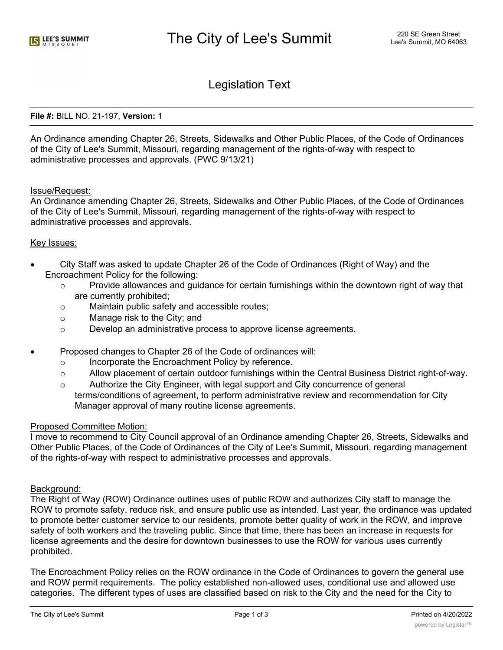Legislation Text

### **File #:** BILL NO. 21-197, **Version:** 1

An Ordinance amending Chapter 26, Streets, Sidewalks and Other Public Places, of the Code of Ordinances of the City of Lee's Summit, Missouri, regarding management of the rights-of-way with respect to administrative processes and approvals. (PWC 9/13/21)

# Issue/Request:

An Ordinance amending Chapter 26, Streets, Sidewalks and Other Public Places, of the Code of Ordinances of the City of Lee's Summit, Missouri, regarding management of the rights-of-way with respect to administrative processes and approvals.

# Key Issues:

- · City Staff was asked to update Chapter 26 of the Code of Ordinances (Right of Way) and the Encroachment Policy for the following:
	- $\circ$  Provide allowances and quidance for certain furnishings within the downtown right of way that are currently prohibited;
	- o Maintain public safety and accessible routes;
	- o Manage risk to the City; and
	- o Develop an administrative process to approve license agreements.
- · Proposed changes to Chapter 26 of the Code of ordinances will:
	- o Incorporate the Encroachment Policy by reference.
	- $\circ$  Allow placement of certain outdoor furnishings within the Central Business District right-of-way.
	- $\circ$  Authorize the City Engineer, with legal support and City concurrence of general terms/conditions of agreement, to perform administrative review and recommendation for City Manager approval of many routine license agreements.

### Proposed Committee Motion:

I move to recommend to City Council approval of an Ordinance amending Chapter 26, Streets, Sidewalks and Other Public Places, of the Code of Ordinances of the City of Lee's Summit, Missouri, regarding management of the rights-of-way with respect to administrative processes and approvals.

#### Background:

The Right of Way (ROW) Ordinance outlines uses of public ROW and authorizes City staff to manage the ROW to promote safety, reduce risk, and ensure public use as intended. Last year, the ordinance was updated to promote better customer service to our residents, promote better quality of work in the ROW, and improve safety of both workers and the traveling public. Since that time, there has been an increase in requests for license agreements and the desire for downtown businesses to use the ROW for various uses currently prohibited.

The Encroachment Policy relies on the ROW ordinance in the Code of Ordinances to govern the general use and ROW permit requirements. The policy established non-allowed uses, conditional use and allowed use categories. The different types of uses are classified based on risk to the City and the need for the City to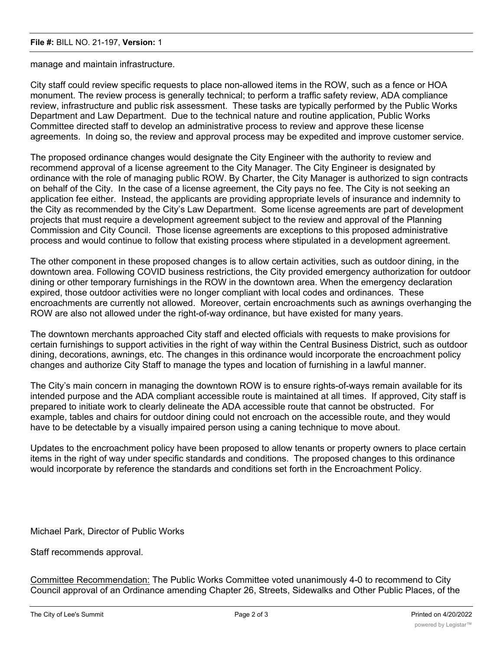### **File #:** BILL NO. 21-197, **Version:** 1

manage and maintain infrastructure.

City staff could review specific requests to place non-allowed items in the ROW, such as a fence or HOA monument. The review process is generally technical; to perform a traffic safety review, ADA compliance review, infrastructure and public risk assessment. These tasks are typically performed by the Public Works Department and Law Department. Due to the technical nature and routine application, Public Works Committee directed staff to develop an administrative process to review and approve these license agreements. In doing so, the review and approval process may be expedited and improve customer service.

The proposed ordinance changes would designate the City Engineer with the authority to review and recommend approval of a license agreement to the City Manager. The City Engineer is designated by ordinance with the role of managing public ROW. By Charter, the City Manager is authorized to sign contracts on behalf of the City. In the case of a license agreement, the City pays no fee. The City is not seeking an application fee either. Instead, the applicants are providing appropriate levels of insurance and indemnity to the City as recommended by the City's Law Department. Some license agreements are part of development projects that must require a development agreement subject to the review and approval of the Planning Commission and City Council. Those license agreements are exceptions to this proposed administrative process and would continue to follow that existing process where stipulated in a development agreement.

The other component in these proposed changes is to allow certain activities, such as outdoor dining, in the downtown area. Following COVID business restrictions, the City provided emergency authorization for outdoor dining or other temporary furnishings in the ROW in the downtown area. When the emergency declaration expired, those outdoor activities were no longer compliant with local codes and ordinances. These encroachments are currently not allowed. Moreover, certain encroachments such as awnings overhanging the ROW are also not allowed under the right-of-way ordinance, but have existed for many years.

The downtown merchants approached City staff and elected officials with requests to make provisions for certain furnishings to support activities in the right of way within the Central Business District, such as outdoor dining, decorations, awnings, etc. The changes in this ordinance would incorporate the encroachment policy changes and authorize City Staff to manage the types and location of furnishing in a lawful manner.

The City's main concern in managing the downtown ROW is to ensure rights-of-ways remain available for its intended purpose and the ADA compliant accessible route is maintained at all times. If approved, City staff is prepared to initiate work to clearly delineate the ADA accessible route that cannot be obstructed. For example, tables and chairs for outdoor dining could not encroach on the accessible route, and they would have to be detectable by a visually impaired person using a caning technique to move about.

Updates to the encroachment policy have been proposed to allow tenants or property owners to place certain items in the right of way under specific standards and conditions. The proposed changes to this ordinance would incorporate by reference the standards and conditions set forth in the Encroachment Policy.

Michael Park, Director of Public Works

Staff recommends approval.

Committee Recommendation: The Public Works Committee voted unanimously 4-0 to recommend to City Council approval of an Ordinance amending Chapter 26, Streets, Sidewalks and Other Public Places, of the